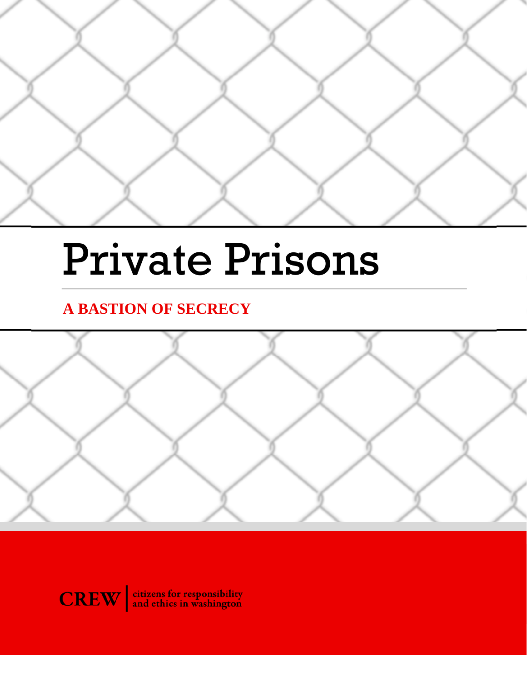

# Private Prisons

# **A BASTION OF SECRECY**



**CREW** and ethics in washington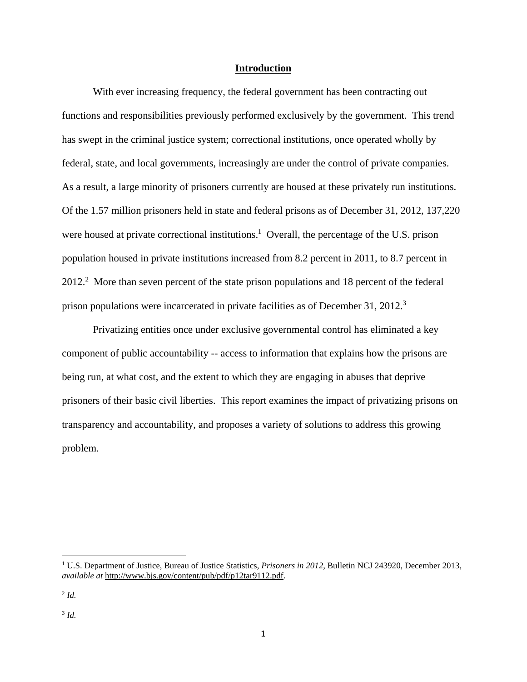# **Introduction**

 With ever increasing frequency, the federal government has been contracting out functions and responsibilities previously performed exclusively by the government. This trend has swept in the criminal justice system; correctional institutions, once operated wholly by federal, state, and local governments, increasingly are under the control of private companies. As a result, a large minority of prisoners currently are housed at these privately run institutions. Of the 1.57 million prisoners held in state and federal prisons as of December 31, 2012, 137,220 were housed at private correctional institutions.<sup>1</sup> Overall, the percentage of the U.S. prison population housed in private institutions increased from 8.2 percent in 2011, to 8.7 percent in 2012.<sup>2</sup> More than seven percent of the state prison populations and 18 percent of the federal prison populations were incarcerated in private facilities as of December 31, 2012.<sup>3</sup>

 Privatizing entities once under exclusive governmental control has eliminated a key component of public accountability -- access to information that explains how the prisons are being run, at what cost, and the extent to which they are engaging in abuses that deprive prisoners of their basic civil liberties. This report examines the impact of privatizing prisons on transparency and accountability, and proposes a variety of solutions to address this growing problem.

<sup>&</sup>lt;sup>1</sup> U.S. Department of Justice, Bureau of Justice Statistics, *Prisoners in 2012*, Bulletin NCJ 243920, December 2013, *available at* http://www.bjs.gov/content/pub/pdf/p12tar9112.pdf.

<sup>2</sup> *Id.*

<sup>3</sup> *Id.*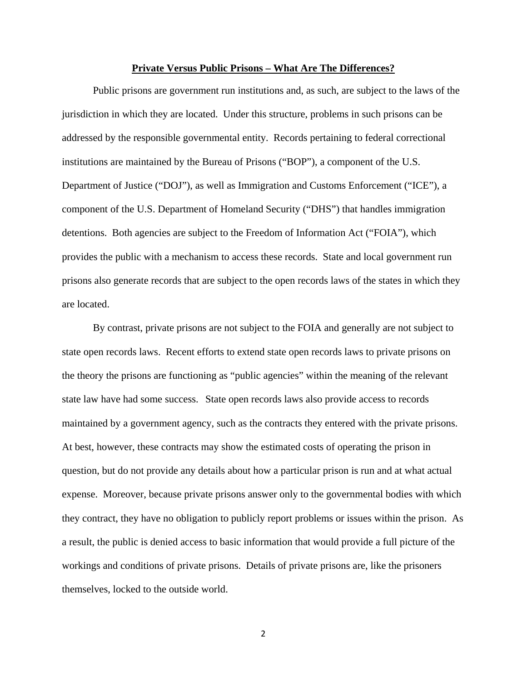#### **Private Versus Public Prisons – What Are The Differences?**

Public prisons are government run institutions and, as such, are subject to the laws of the jurisdiction in which they are located. Under this structure, problems in such prisons can be addressed by the responsible governmental entity. Records pertaining to federal correctional institutions are maintained by the Bureau of Prisons ("BOP"), a component of the U.S. Department of Justice ("DOJ"), as well as Immigration and Customs Enforcement ("ICE"), a component of the U.S. Department of Homeland Security ("DHS") that handles immigration detentions. Both agencies are subject to the Freedom of Information Act ("FOIA"), which provides the public with a mechanism to access these records. State and local government run prisons also generate records that are subject to the open records laws of the states in which they are located.

By contrast, private prisons are not subject to the FOIA and generally are not subject to state open records laws. Recent efforts to extend state open records laws to private prisons on the theory the prisons are functioning as "public agencies" within the meaning of the relevant state law have had some success. State open records laws also provide access to records maintained by a government agency, such as the contracts they entered with the private prisons. At best, however, these contracts may show the estimated costs of operating the prison in question, but do not provide any details about how a particular prison is run and at what actual expense. Moreover, because private prisons answer only to the governmental bodies with which they contract, they have no obligation to publicly report problems or issues within the prison. As a result, the public is denied access to basic information that would provide a full picture of the workings and conditions of private prisons. Details of private prisons are, like the prisoners themselves, locked to the outside world.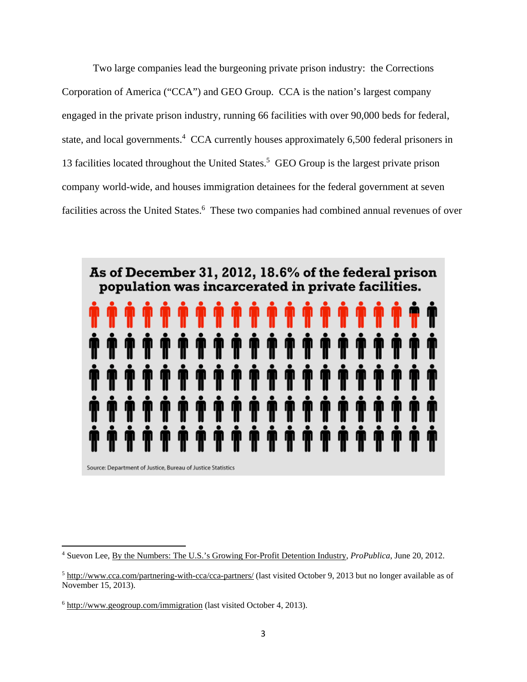Two large companies lead the burgeoning private prison industry: the Corrections Corporation of America ("CCA") and GEO Group. CCA is the nation's largest company engaged in the private prison industry, running 66 facilities with over 90,000 beds for federal, state, and local governments.<sup>4</sup> CCA currently houses approximately 6,500 federal prisoners in 13 facilities located throughout the United States.<sup>5</sup> GEO Group is the largest private prison company world-wide, and houses immigration detainees for the federal government at seven facilities across the United States.<sup>6</sup> These two companies had combined annual revenues of over



<sup>4</sup> Suevon Lee, By the Numbers: The U.S.'s Growing For-Profit Detention Industry, *ProPublica*, June 20, 2012.

 $<sup>5</sup>$  http://www.cca.com/partnering-with-cca/cca-partners/ (last visited October 9, 2013 but no longer available as of</sup> November 15, 2013).

<sup>&</sup>lt;sup>6</sup> http://www.geogroup.com/immigration (last visited October 4, 2013).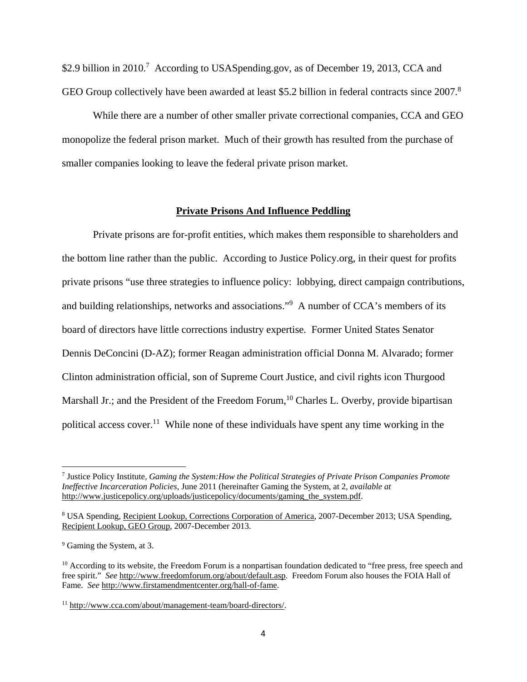\$2.9 billion in 2010.<sup>7</sup> According to USASpending.gov, as of December 19, 2013, CCA and GEO Group collectively have been awarded at least \$5.2 billion in federal contracts since 2007.<sup>8</sup>

While there are a number of other smaller private correctional companies, CCA and GEO monopolize the federal prison market. Much of their growth has resulted from the purchase of smaller companies looking to leave the federal private prison market.

# **Private Prisons And Influence Peddling**

 Private prisons are for-profit entities, which makes them responsible to shareholders and the bottom line rather than the public. According to Justice Policy.org, in their quest for profits private prisons "use three strategies to influence policy: lobbying, direct campaign contributions, and building relationships, networks and associations."9 A number of CCA's members of its board of directors have little corrections industry expertise. Former United States Senator Dennis DeConcini (D-AZ); former Reagan administration official Donna M. Alvarado; former Clinton administration official, son of Supreme Court Justice, and civil rights icon Thurgood Marshall Jr.; and the President of the Freedom Forum,  $^{10}$  Charles L. Overby, provide bipartisan political access cover.<sup>11</sup> While none of these individuals have spent any time working in the

<sup>7</sup> Justice Policy Institute, *Gaming the System:How the Political Strategies of Private Prison Companies Promote Ineffective Incarceration Policies*, June 2011 (hereinafter Gaming the System, at 2*, available at* http://www.justicepolicy.org/uploads/justicepolicy/documents/gaming\_the\_system.pdf.

<sup>&</sup>lt;sup>8</sup> USA Spending, Recipient Lookup, Corrections Corporation of America, 2007-December 2013; USA Spending, Recipient Lookup, GEO Group, 2007-December 2013.

<sup>&</sup>lt;sup>9</sup> Gaming the System, at 3.

<sup>&</sup>lt;sup>10</sup> According to its website, the Freedom Forum is a nonpartisan foundation dedicated to "free press, free speech and free spirit." *See* http://www.freedomforum.org/about/default.asp. Freedom Forum also houses the FOIA Hall of Fame. *See* http://www.firstamendmentcenter.org/hall-of-fame.

<sup>11</sup> http://www.cca.com/about/management-team/board-directors/.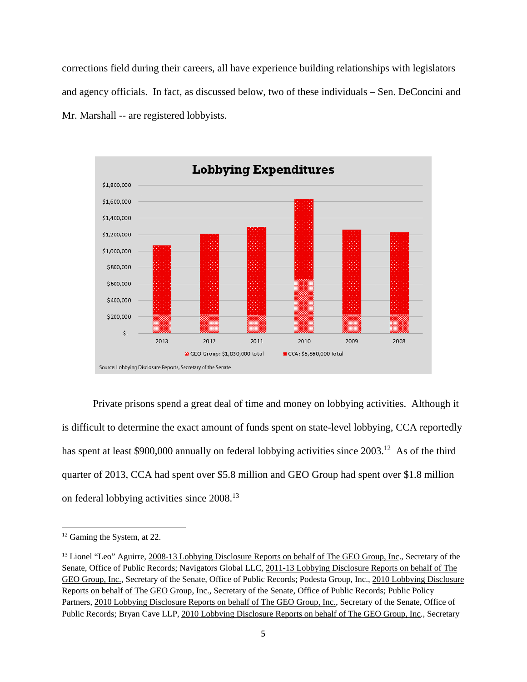corrections field during their careers, all have experience building relationships with legislators and agency officials. In fact, as discussed below, two of these individuals – Sen. DeConcini and Mr. Marshall -- are registered lobbyists.



Private prisons spend a great deal of time and money on lobbying activities. Although it is difficult to determine the exact amount of funds spent on state-level lobbying, CCA reportedly has spent at least \$900,000 annually on federal lobbying activities since 2003.<sup>12</sup> As of the third quarter of 2013, CCA had spent over \$5.8 million and GEO Group had spent over \$1.8 million on federal lobbying activities since 2008.13

<sup>&</sup>lt;sup>12</sup> Gaming the System, at 22.

<sup>&</sup>lt;sup>13</sup> Lionel "Leo" Aguirre, 2008-13 Lobbying Disclosure Reports on behalf of The GEO Group, Inc., Secretary of the Senate, Office of Public Records; Navigators Global LLC, 2011-13 Lobbying Disclosure Reports on behalf of The GEO Group, Inc., Secretary of the Senate, Office of Public Records; Podesta Group, Inc., 2010 Lobbying Disclosure Reports on behalf of The GEO Group, Inc., Secretary of the Senate, Office of Public Records; Public Policy Partners, 2010 Lobbying Disclosure Reports on behalf of The GEO Group, Inc., Secretary of the Senate, Office of Public Records; Bryan Cave LLP, 2010 Lobbying Disclosure Reports on behalf of The GEO Group, Inc., Secretary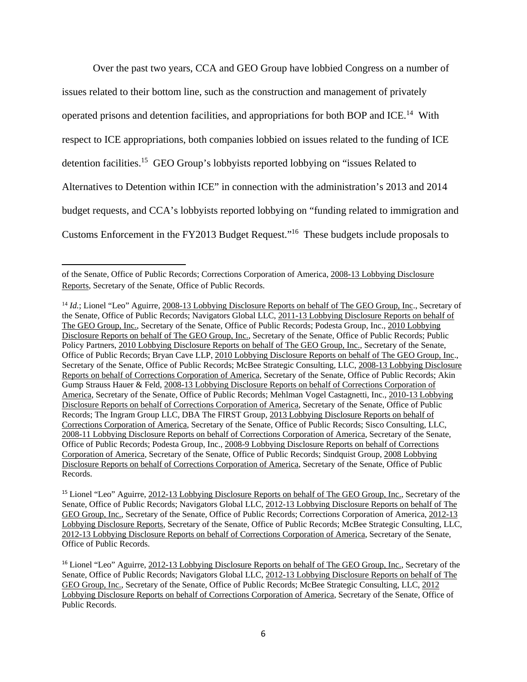Over the past two years, CCA and GEO Group have lobbied Congress on a number of issues related to their bottom line, such as the construction and management of privately operated prisons and detention facilities, and appropriations for both BOP and ICE.14 With respect to ICE appropriations, both companies lobbied on issues related to the funding of ICE detention facilities.15 GEO Group's lobbyists reported lobbying on "issues Related to Alternatives to Detention within ICE" in connection with the administration's 2013 and 2014 budget requests, and CCA's lobbyists reported lobbying on "funding related to immigration and Customs Enforcement in the FY2013 Budget Request."16 These budgets include proposals to

of the Senate, Office of Public Records; Corrections Corporation of America, 2008-13 Lobbying Disclosure Reports, Secretary of the Senate, Office of Public Records.

<sup>&</sup>lt;sup>14</sup> *Id.*; Lionel "Leo" Aguirre, 2008-13 Lobbying Disclosure Reports on behalf of The GEO Group, Inc., Secretary of the Senate, Office of Public Records; Navigators Global LLC, 2011-13 Lobbying Disclosure Reports on behalf of The GEO Group, Inc., Secretary of the Senate, Office of Public Records; Podesta Group, Inc., 2010 Lobbying Disclosure Reports on behalf of The GEO Group, Inc., Secretary of the Senate, Office of Public Records; Public Policy Partners, 2010 Lobbying Disclosure Reports on behalf of The GEO Group, Inc., Secretary of the Senate, Office of Public Records; Bryan Cave LLP, 2010 Lobbying Disclosure Reports on behalf of The GEO Group, Inc., Secretary of the Senate, Office of Public Records; McBee Strategic Consulting, LLC, 2008-13 Lobbying Disclosure Reports on behalf of Corrections Corporation of America, Secretary of the Senate, Office of Public Records; Akin Gump Strauss Hauer & Feld, 2008-13 Lobbying Disclosure Reports on behalf of Corrections Corporation of America, Secretary of the Senate, Office of Public Records; Mehlman Vogel Castagnetti, Inc., 2010-13 Lobbying Disclosure Reports on behalf of Corrections Corporation of America, Secretary of the Senate, Office of Public Records; The Ingram Group LLC, DBA The FIRST Group, 2013 Lobbying Disclosure Reports on behalf of Corrections Corporation of America, Secretary of the Senate, Office of Public Records; Sisco Consulting, LLC, 2008-11 Lobbying Disclosure Reports on behalf of Corrections Corporation of America, Secretary of the Senate, Office of Public Records; Podesta Group, Inc., 2008-9 Lobbying Disclosure Reports on behalf of Corrections Corporation of America, Secretary of the Senate, Office of Public Records; Sindquist Group, 2008 Lobbying Disclosure Reports on behalf of Corrections Corporation of America, Secretary of the Senate, Office of Public Records.

<sup>15</sup> Lionel "Leo" Aguirre, 2012-13 Lobbying Disclosure Reports on behalf of The GEO Group, Inc., Secretary of the Senate, Office of Public Records; Navigators Global LLC, 2012-13 Lobbying Disclosure Reports on behalf of The GEO Group, Inc., Secretary of the Senate, Office of Public Records; Corrections Corporation of America, 2012-13 Lobbying Disclosure Reports, Secretary of the Senate, Office of Public Records; McBee Strategic Consulting, LLC, 2012-13 Lobbying Disclosure Reports on behalf of Corrections Corporation of America, Secretary of the Senate, Office of Public Records.

<sup>16</sup> Lionel "Leo" Aguirre, 2012-13 Lobbying Disclosure Reports on behalf of The GEO Group, Inc., Secretary of the Senate, Office of Public Records; Navigators Global LLC, 2012-13 Lobbying Disclosure Reports on behalf of The GEO Group, Inc., Secretary of the Senate, Office of Public Records; McBee Strategic Consulting, LLC, 2012 Lobbying Disclosure Reports on behalf of Corrections Corporation of America, Secretary of the Senate, Office of Public Records.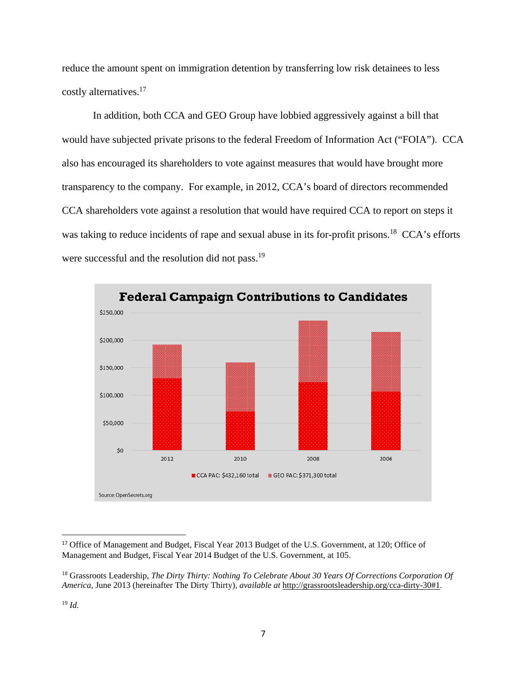reduce the amount spent on immigration detention by transferring low risk detainees to less costly alternatives.17

 In addition, both CCA and GEO Group have lobbied aggressively against a bill that would have subjected private prisons to the federal Freedom of Information Act ("FOIA"). CCA also has encouraged its shareholders to vote against measures that would have brought more transparency to the company. For example, in 2012, CCA's board of directors recommended CCA shareholders vote against a resolution that would have required CCA to report on steps it was taking to reduce incidents of rape and sexual abuse in its for-profit prisons.<sup>18</sup> CCA's efforts were successful and the resolution did not pass.<sup>19</sup>



<sup>17</sup> Office of Management and Budget, Fiscal Year 2013 Budget of the U.S. Government, at 120; Office of Management and Budget, Fiscal Year 2014 Budget of the U.S. Government, at 105.

<sup>18</sup> Grassroots Leadership, *The Dirty Thirty: Nothing To Celebrate About 30 Years Of Corrections Corporation Of America*, June 2013 (hereinafter The Dirty Thirty), *available at* http://grassrootsleadership.org/cca-dirty-30#1.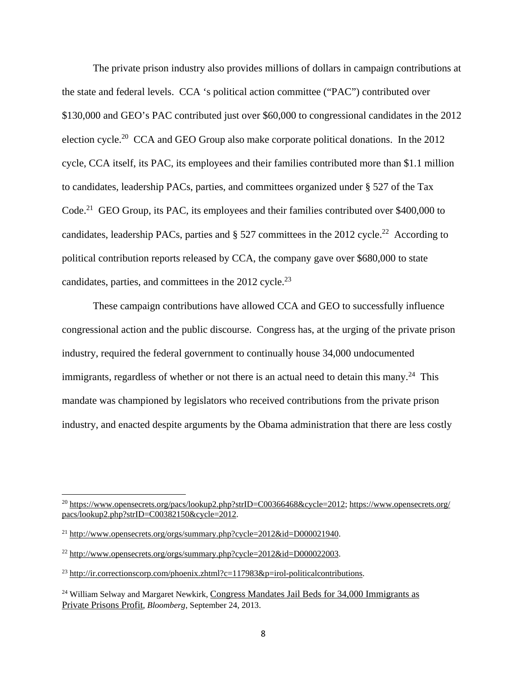The private prison industry also provides millions of dollars in campaign contributions at the state and federal levels. CCA 's political action committee ("PAC") contributed over \$130,000 and GEO's PAC contributed just over \$60,000 to congressional candidates in the 2012 election cycle.20 CCA and GEO Group also make corporate political donations. In the 2012 cycle, CCA itself, its PAC, its employees and their families contributed more than \$1.1 million to candidates, leadership PACs, parties, and committees organized under § 527 of the Tax Code.<sup>21</sup> GEO Group, its PAC, its employees and their families contributed over \$400,000 to candidates, leadership PACs, parties and  $\S$  527 committees in the 2012 cycle.<sup>22</sup> According to political contribution reports released by CCA, the company gave over \$680,000 to state candidates, parties, and committees in the  $2012$  cycle.<sup>23</sup>

These campaign contributions have allowed CCA and GEO to successfully influence congressional action and the public discourse. Congress has, at the urging of the private prison industry, required the federal government to continually house 34,000 undocumented immigrants, regardless of whether or not there is an actual need to detain this many.<sup>24</sup> This mandate was championed by legislators who received contributions from the private prison industry, and enacted despite arguments by the Obama administration that there are less costly

 $^{20}$  https://www.opensecrets.org/pacs/lookup2.php?strID=C00366468&cycle=2012; https://www.opensecrets.org/ pacs/lookup2.php?strID=C00382150&cycle=2012.

<sup>21</sup> http://www.opensecrets.org/orgs/summary.php?cycle=2012&id=D000021940.

<sup>22</sup> http://www.opensecrets.org/orgs/summary.php?cycle=2012&id=D000022003.

<sup>&</sup>lt;sup>23</sup> http://ir.correctionscorp.com/phoenix.zhtml?c=117983&p=irol-politicalcontributions.

<sup>&</sup>lt;sup>24</sup> William Selway and Margaret Newkirk, Congress Mandates Jail Beds for 34,000 Immigrants as Private Prisons Profit, *Bloomberg*, September 24, 2013.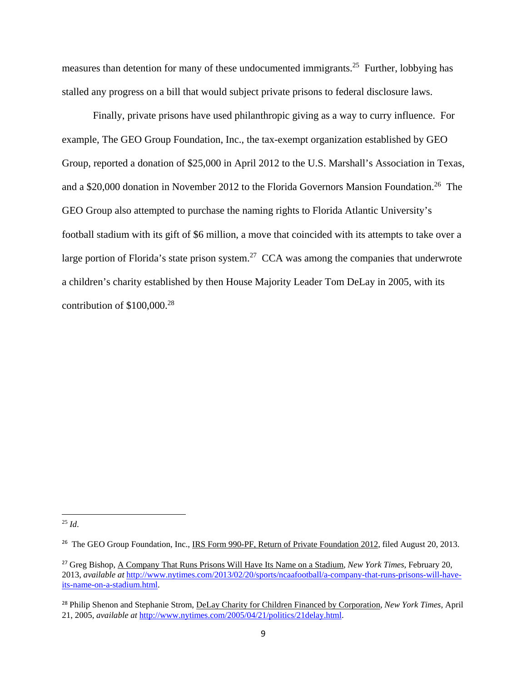measures than detention for many of these undocumented immigrants.25 Further, lobbying has stalled any progress on a bill that would subject private prisons to federal disclosure laws.

Finally, private prisons have used philanthropic giving as a way to curry influence. For example, The GEO Group Foundation, Inc., the tax-exempt organization established by GEO Group, reported a donation of \$25,000 in April 2012 to the U.S. Marshall's Association in Texas, and a \$20,000 donation in November 2012 to the Florida Governors Mansion Foundation.<sup>26</sup> The GEO Group also attempted to purchase the naming rights to Florida Atlantic University's football stadium with its gift of \$6 million, a move that coincided with its attempts to take over a large portion of Florida's state prison system.<sup>27</sup> CCA was among the companies that underwrote a children's charity established by then House Majority Leader Tom DeLay in 2005, with its contribution of  $$100,000.<sup>28</sup>$ 

 <sup>25</sup> *Id*.

<sup>&</sup>lt;sup>26</sup> The GEO Group Foundation, Inc., IRS Form 990-PF, Return of Private Foundation 2012, filed August 20, 2013.

<sup>27</sup> Greg Bishop, A Company That Runs Prisons Will Have Its Name on a Stadium, *New York Times*, February 20, 2013, *available at* http://www.nytimes.com/2013/02/20/sports/ncaafootball/a-company-that-runs-prisons-will-haveits-name-on-a-stadium.html.

<sup>28</sup> Philip Shenon and Stephanie Strom, DeLay Charity for Children Financed by Corporation, *New York Times*, April 21, 2005, *available at* http://www.nytimes.com/2005/04/21/politics/21delay.html.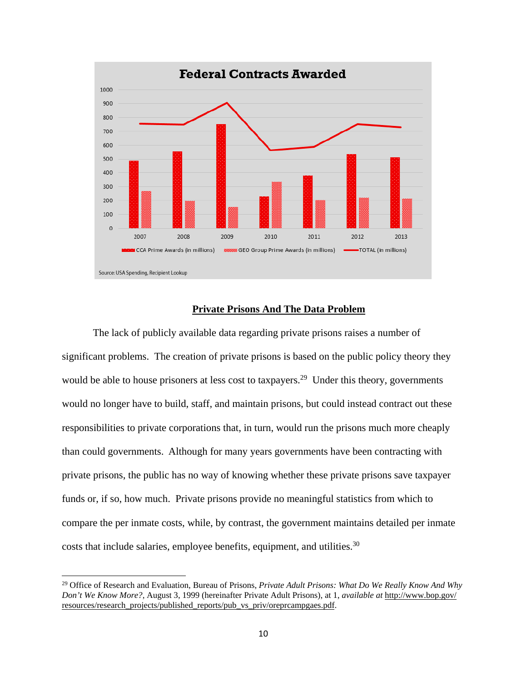

# **Private Prisons And The Data Problem**

 The lack of publicly available data regarding private prisons raises a number of significant problems. The creation of private prisons is based on the public policy theory they would be able to house prisoners at less cost to taxpayers.<sup>29</sup> Under this theory, governments would no longer have to build, staff, and maintain prisons, but could instead contract out these responsibilities to private corporations that, in turn, would run the prisons much more cheaply than could governments. Although for many years governments have been contracting with private prisons, the public has no way of knowing whether these private prisons save taxpayer funds or, if so, how much. Private prisons provide no meaningful statistics from which to compare the per inmate costs, while, by contrast, the government maintains detailed per inmate costs that include salaries, employee benefits, equipment, and utilities.  $30$ 

<sup>&</sup>lt;sup>29</sup> Office of Research and Evaluation, Bureau of Prisons, *Private Adult Prisons: What Do We Really Know And Why Don't We Know More?*, August 3, 1999 (hereinafter Private Adult Prisons), at 1, *available at* http://www.bop.gov/ resources/research\_projects/published\_reports/pub\_vs\_priv/oreprcampgaes.pdf.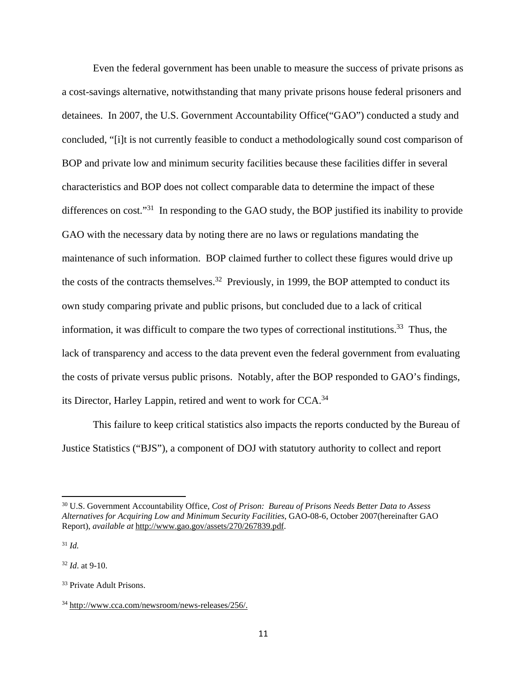Even the federal government has been unable to measure the success of private prisons as a cost-savings alternative, notwithstanding that many private prisons house federal prisoners and detainees. In 2007, the U.S. Government Accountability Office("GAO") conducted a study and concluded, "[i]t is not currently feasible to conduct a methodologically sound cost comparison of BOP and private low and minimum security facilities because these facilities differ in several characteristics and BOP does not collect comparable data to determine the impact of these differences on cost."<sup>31</sup> In responding to the GAO study, the BOP justified its inability to provide GAO with the necessary data by noting there are no laws or regulations mandating the maintenance of such information. BOP claimed further to collect these figures would drive up the costs of the contracts themselves.<sup>32</sup> Previously, in 1999, the BOP attempted to conduct its own study comparing private and public prisons, but concluded due to a lack of critical information, it was difficult to compare the two types of correctional institutions.<sup>33</sup> Thus, the lack of transparency and access to the data prevent even the federal government from evaluating the costs of private versus public prisons. Notably, after the BOP responded to GAO's findings, its Director, Harley Lappin, retired and went to work for CCA.34

 This failure to keep critical statistics also impacts the reports conducted by the Bureau of Justice Statistics ("BJS"), a component of DOJ with statutory authority to collect and report

<sup>31</sup> *Id.*

<sup>32</sup> *Id*. at 9-10.

<sup>30</sup> U.S. Government Accountability Office, *Cost of Prison: Bureau of Prisons Needs Better Data to Assess Alternatives for Acquiring Low and Minimum Security Facilities*, GAO-08-6, October 2007(hereinafter GAO Report), *available at* http://www.gao.gov/assets/270/267839.pdf.

<sup>33</sup> Private Adult Prisons.

<sup>34</sup> http://www.cca.com/newsroom/news-releases/256/.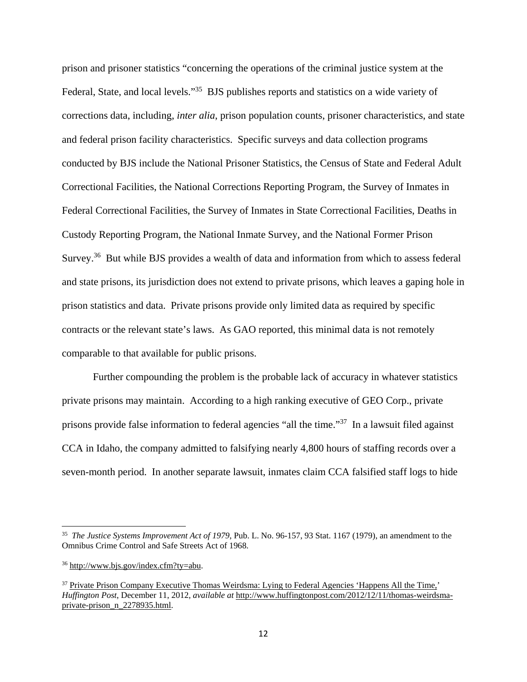prison and prisoner statistics "concerning the operations of the criminal justice system at the Federal, State, and local levels."<sup>35</sup> BJS publishes reports and statistics on a wide variety of corrections data, including, *inter alia*, prison population counts, prisoner characteristics, and state and federal prison facility characteristics. Specific surveys and data collection programs conducted by BJS include the National Prisoner Statistics, the Census of State and Federal Adult Correctional Facilities, the National Corrections Reporting Program, the Survey of Inmates in Federal Correctional Facilities, the Survey of Inmates in State Correctional Facilities, Deaths in Custody Reporting Program, the National Inmate Survey, and the National Former Prison Survey.<sup>36</sup> But while BJS provides a wealth of data and information from which to assess federal and state prisons, its jurisdiction does not extend to private prisons, which leaves a gaping hole in prison statistics and data. Private prisons provide only limited data as required by specific contracts or the relevant state's laws. As GAO reported, this minimal data is not remotely comparable to that available for public prisons.

 Further compounding the problem is the probable lack of accuracy in whatever statistics private prisons may maintain. According to a high ranking executive of GEO Corp., private prisons provide false information to federal agencies "all the time."37 In a lawsuit filed against CCA in Idaho, the company admitted to falsifying nearly 4,800 hours of staffing records over a seven-month period. In another separate lawsuit, inmates claim CCA falsified staff logs to hide

<sup>35</sup> *The Justice Systems Improvement Act of 1979*, Pub. L. No. 96-157, 93 Stat. 1167 (1979), an amendment to the Omnibus Crime Control and Safe Streets Act of 1968.

<sup>36</sup> http://www.bjs.gov/index.cfm?ty=abu.

<sup>&</sup>lt;sup>37</sup> Private Prison Company Executive Thomas Weirdsma: Lying to Federal Agencies 'Happens All the Time,' *Huffington Post*, December 11, 2012, *available at* http://www.huffingtonpost.com/2012/12/11/thomas-weirdsmaprivate-prison\_n\_2278935.html.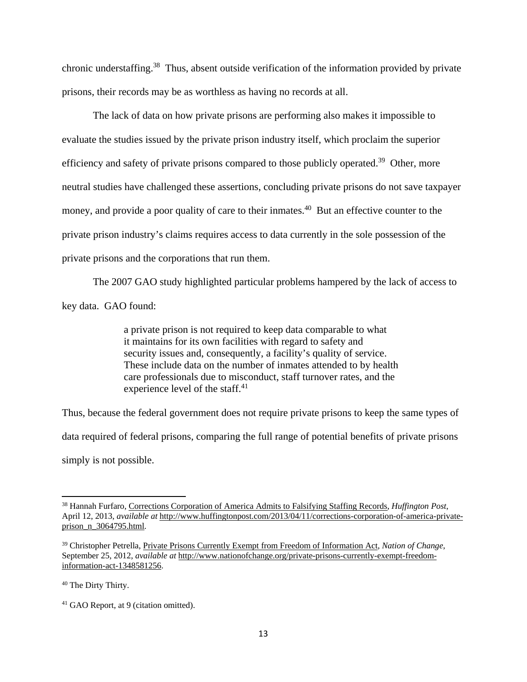chronic understaffing.38 Thus, absent outside verification of the information provided by private prisons, their records may be as worthless as having no records at all.

 The lack of data on how private prisons are performing also makes it impossible to evaluate the studies issued by the private prison industry itself, which proclaim the superior efficiency and safety of private prisons compared to those publicly operated.<sup>39</sup> Other, more neutral studies have challenged these assertions, concluding private prisons do not save taxpayer money, and provide a poor quality of care to their inmates.<sup>40</sup> But an effective counter to the private prison industry's claims requires access to data currently in the sole possession of the private prisons and the corporations that run them.

The 2007 GAO study highlighted particular problems hampered by the lack of access to key data. GAO found:

> a private prison is not required to keep data comparable to what it maintains for its own facilities with regard to safety and security issues and, consequently, a facility's quality of service. These include data on the number of inmates attended to by health care professionals due to misconduct, staff turnover rates, and the experience level of the staff.<sup>41</sup>

Thus, because the federal government does not require private prisons to keep the same types of data required of federal prisons, comparing the full range of potential benefits of private prisons simply is not possible.

<sup>38</sup> Hannah Furfaro, Corrections Corporation of America Admits to Falsifying Staffing Records, *Huffington Post*, April 12, 2013, *available at* http://www.huffingtonpost.com/2013/04/11/corrections-corporation-of-america-privateprison\_n\_3064795.html.

<sup>39</sup> Christopher Petrella, Private Prisons Currently Exempt from Freedom of Information Act, *Nation of Change*, September 25, 2012, *available at* http://www.nationofchange.org/private-prisons-currently-exempt-freedominformation-act-1348581256.

<sup>40</sup> The Dirty Thirty.

<sup>41</sup> GAO Report, at 9 (citation omitted).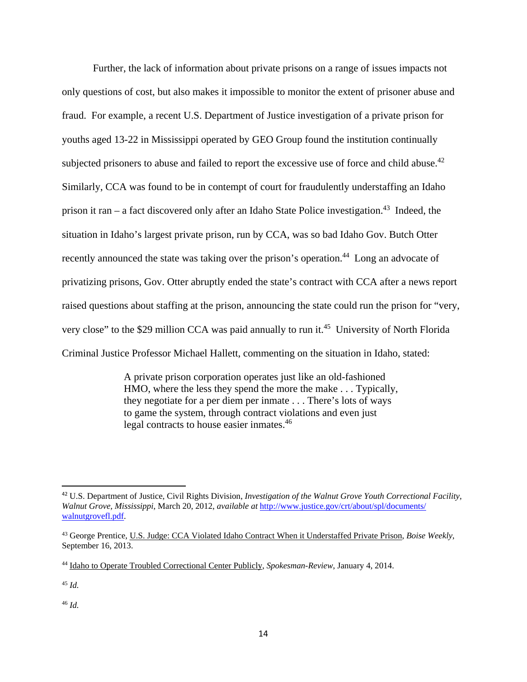Further, the lack of information about private prisons on a range of issues impacts not only questions of cost, but also makes it impossible to monitor the extent of prisoner abuse and fraud. For example, a recent U.S. Department of Justice investigation of a private prison for youths aged 13-22 in Mississippi operated by GEO Group found the institution continually subjected prisoners to abuse and failed to report the excessive use of force and child abuse. $42$ Similarly, CCA was found to be in contempt of court for fraudulently understaffing an Idaho prison it ran – a fact discovered only after an Idaho State Police investigation.<sup>43</sup> Indeed, the situation in Idaho's largest private prison, run by CCA, was so bad Idaho Gov. Butch Otter recently announced the state was taking over the prison's operation.<sup>44</sup> Long an advocate of privatizing prisons, Gov. Otter abruptly ended the state's contract with CCA after a news report raised questions about staffing at the prison, announcing the state could run the prison for "very, very close" to the \$29 million CCA was paid annually to run it.<sup>45</sup> University of North Florida Criminal Justice Professor Michael Hallett, commenting on the situation in Idaho, stated:

> A private prison corporation operates just like an old-fashioned HMO, where the less they spend the more the make . . . Typically, they negotiate for a per diem per inmate . . . There's lots of ways to game the system, through contract violations and even just legal contracts to house easier inmates.<sup>46</sup>

<sup>46</sup> *Id.* 

<sup>42</sup> U.S. Department of Justice, Civil Rights Division, *Investigation of the Walnut Grove Youth Correctional Facility, Walnut Grove, Mississippi*, March 20, 2012, *available at* http://www.justice.gov/crt/about/spl/documents/ walnutgrovefl.pdf.

<sup>43</sup> George Prentice, U.S. Judge: CCA Violated Idaho Contract When it Understaffed Private Prison, *Boise Weekly*, September 16, 2013.

<sup>44</sup> Idaho to Operate Troubled Correctional Center Publicly, *Spokesman-Review*, January 4, 2014.

<sup>45</sup> *Id.*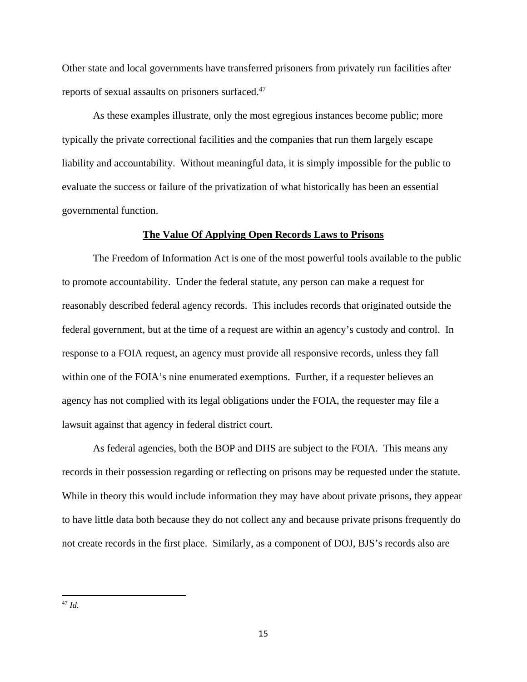Other state and local governments have transferred prisoners from privately run facilities after reports of sexual assaults on prisoners surfaced.47

As these examples illustrate, only the most egregious instances become public; more typically the private correctional facilities and the companies that run them largely escape liability and accountability. Without meaningful data, it is simply impossible for the public to evaluate the success or failure of the privatization of what historically has been an essential governmental function.

# **The Value Of Applying Open Records Laws to Prisons**

 The Freedom of Information Act is one of the most powerful tools available to the public to promote accountability. Under the federal statute, any person can make a request for reasonably described federal agency records. This includes records that originated outside the federal government, but at the time of a request are within an agency's custody and control. In response to a FOIA request, an agency must provide all responsive records, unless they fall within one of the FOIA's nine enumerated exemptions. Further, if a requester believes an agency has not complied with its legal obligations under the FOIA, the requester may file a lawsuit against that agency in federal district court.

As federal agencies, both the BOP and DHS are subject to the FOIA. This means any records in their possession regarding or reflecting on prisons may be requested under the statute. While in theory this would include information they may have about private prisons, they appear to have little data both because they do not collect any and because private prisons frequently do not create records in the first place. Similarly, as a component of DOJ, BJS's records also are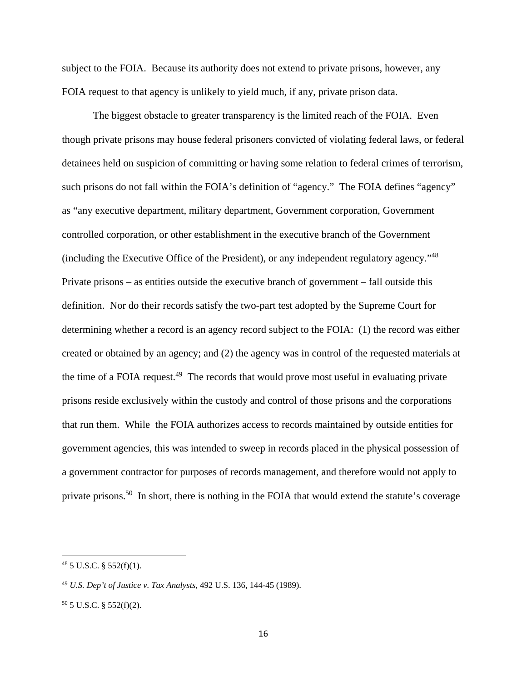subject to the FOIA. Because its authority does not extend to private prisons, however, any FOIA request to that agency is unlikely to yield much, if any, private prison data.

The biggest obstacle to greater transparency is the limited reach of the FOIA. Even though private prisons may house federal prisoners convicted of violating federal laws, or federal detainees held on suspicion of committing or having some relation to federal crimes of terrorism, such prisons do not fall within the FOIA's definition of "agency." The FOIA defines "agency" as "any executive department, military department, Government corporation, Government controlled corporation, or other establishment in the executive branch of the Government (including the Executive Office of the President), or any independent regulatory agency."<sup>48</sup> Private prisons – as entities outside the executive branch of government – fall outside this definition. Nor do their records satisfy the two-part test adopted by the Supreme Court for determining whether a record is an agency record subject to the FOIA: (1) the record was either created or obtained by an agency; and (2) the agency was in control of the requested materials at the time of a FOIA request.<sup>49</sup> The records that would prove most useful in evaluating private prisons reside exclusively within the custody and control of those prisons and the corporations that run them. While the FOIA authorizes access to records maintained by outside entities for government agencies, this was intended to sweep in records placed in the physical possession of a government contractor for purposes of records management, and therefore would not apply to private prisons.50 In short, there is nothing in the FOIA that would extend the statute's coverage

 $48$  5 U.S.C. § 552(f)(1).

<sup>49</sup> *U.S. Dep't of Justice v. Tax Analysts*, 492 U.S. 136, 144-45 (1989).

 $50$  5 U.S.C. § 552(f)(2).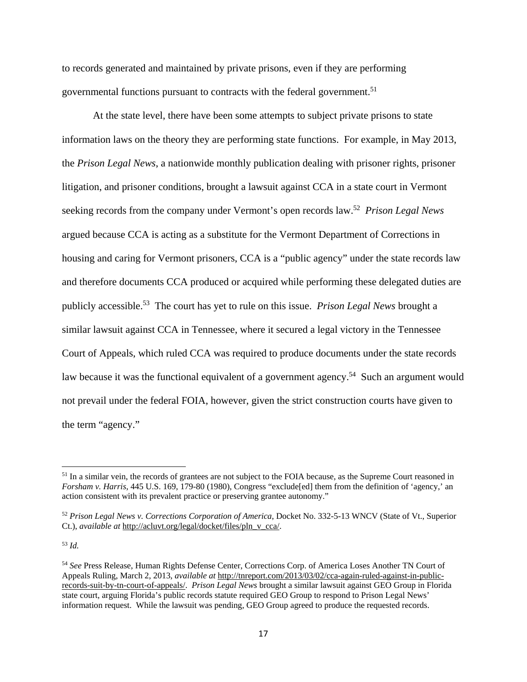to records generated and maintained by private prisons, even if they are performing governmental functions pursuant to contracts with the federal government.<sup>51</sup>

At the state level, there have been some attempts to subject private prisons to state information laws on the theory they are performing state functions. For example, in May 2013, the *Prison Legal News*, a nationwide monthly publication dealing with prisoner rights, prisoner litigation, and prisoner conditions, brought a lawsuit against CCA in a state court in Vermont seeking records from the company under Vermont's open records law.52 *Prison Legal News* argued because CCA is acting as a substitute for the Vermont Department of Corrections in housing and caring for Vermont prisoners, CCA is a "public agency" under the state records law and therefore documents CCA produced or acquired while performing these delegated duties are publicly accessible.53 The court has yet to rule on this issue. *Prison Legal News* brought a similar lawsuit against CCA in Tennessee, where it secured a legal victory in the Tennessee Court of Appeals, which ruled CCA was required to produce documents under the state records law because it was the functional equivalent of a government agency.<sup>54</sup> Such an argument would not prevail under the federal FOIA, however, given the strict construction courts have given to the term "agency."

<sup>53</sup> *Id.*

<sup>&</sup>lt;sup>51</sup> In a similar vein, the records of grantees are not subject to the FOIA because, as the Supreme Court reasoned in *Forsham v. Harris*, 445 U.S. 169, 179-80 (1980), Congress "exclude[ed] them from the definition of 'agency,' an action consistent with its prevalent practice or preserving grantee autonomy."

<sup>52</sup> *Prison Legal News v. Corrections Corporation of America*, Docket No. 332-5-13 WNCV (State of Vt., Superior Ct.), *available at* http://acluvt.org/legal/docket/files/pln\_v\_cca/.

<sup>54</sup> *See* Press Release, Human Rights Defense Center, Corrections Corp. of America Loses Another TN Court of Appeals Ruling, March 2, 2013, *available at* http://tnreport.com/2013/03/02/cca-again-ruled-against-in-publicrecords-suit-by-tn-court-of-appeals/. *Prison Legal News* brought a similar lawsuit against GEO Group in Florida state court, arguing Florida's public records statute required GEO Group to respond to Prison Legal News' information request. While the lawsuit was pending, GEO Group agreed to produce the requested records.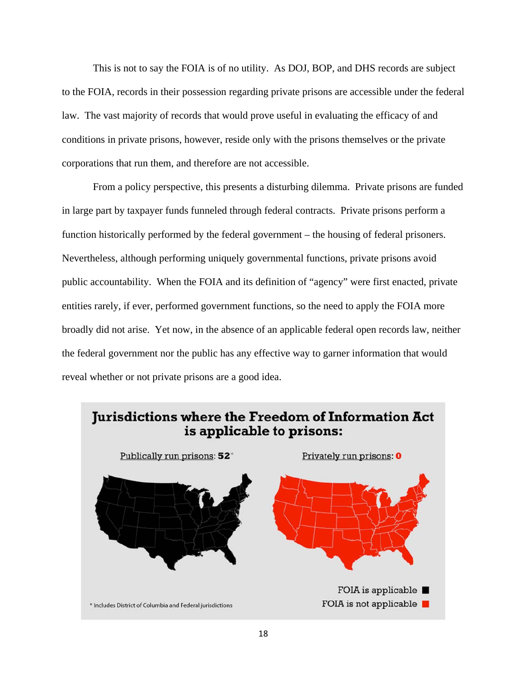This is not to say the FOIA is of no utility. As DOJ, BOP, and DHS records are subject to the FOIA, records in their possession regarding private prisons are accessible under the federal law. The vast majority of records that would prove useful in evaluating the efficacy of and conditions in private prisons, however, reside only with the prisons themselves or the private corporations that run them, and therefore are not accessible.

 From a policy perspective, this presents a disturbing dilemma. Private prisons are funded in large part by taxpayer funds funneled through federal contracts. Private prisons perform a function historically performed by the federal government – the housing of federal prisoners. Nevertheless, although performing uniquely governmental functions, private prisons avoid public accountability. When the FOIA and its definition of "agency" were first enacted, private entities rarely, if ever, performed government functions, so the need to apply the FOIA more broadly did not arise. Yet now, in the absence of an applicable federal open records law, neither the federal government nor the public has any effective way to garner information that would reveal whether or not private prisons are a good idea.

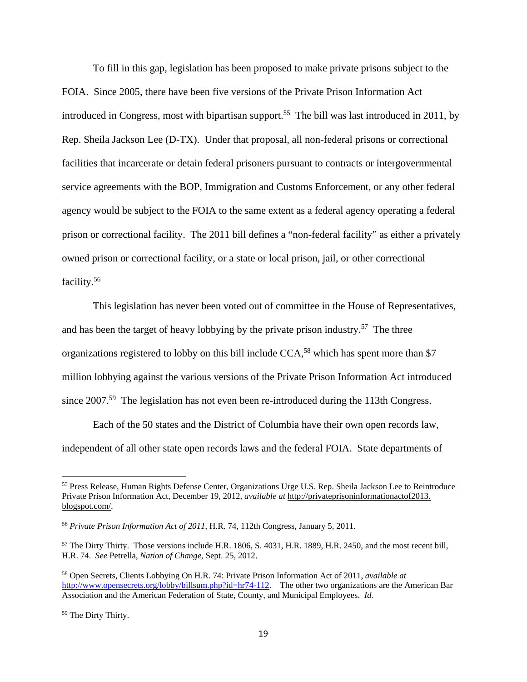To fill in this gap, legislation has been proposed to make private prisons subject to the FOIA. Since 2005, there have been five versions of the Private Prison Information Act introduced in Congress, most with bipartisan support.<sup>55</sup> The bill was last introduced in 2011, by Rep. Sheila Jackson Lee (D-TX). Under that proposal, all non-federal prisons or correctional facilities that incarcerate or detain federal prisoners pursuant to contracts or intergovernmental service agreements with the BOP, Immigration and Customs Enforcement, or any other federal agency would be subject to the FOIA to the same extent as a federal agency operating a federal prison or correctional facility. The 2011 bill defines a "non-federal facility" as either a privately owned prison or correctional facility, or a state or local prison, jail, or other correctional facility.56

This legislation has never been voted out of committee in the House of Representatives, and has been the target of heavy lobbying by the private prison industry.<sup>57</sup> The three organizations registered to lobby on this bill include CCA,<sup>58</sup> which has spent more than \$7 million lobbying against the various versions of the Private Prison Information Act introduced since 2007.<sup>59</sup> The legislation has not even been re-introduced during the 113th Congress.

 Each of the 50 states and the District of Columbia have their own open records law, independent of all other state open records laws and the federal FOIA. State departments of

<sup>55</sup> Press Release, Human Rights Defense Center, Organizations Urge U.S. Rep. Sheila Jackson Lee to Reintroduce Private Prison Information Act, December 19, 2012, *available at* http://privateprisoninformationactof2013. blogspot.com/.

<sup>56</sup> *Private Prison Information Act of 2011*, H.R. 74, 112th Congress, January 5, 2011.

<sup>57</sup> The Dirty Thirty. Those versions include H.R. 1806, S. 4031, H.R. 1889, H.R. 2450, and the most recent bill, H.R. 74. *See* Petrella, *Nation of Change*, Sept. 25, 2012.

<sup>58</sup> Open Secrets, Clients Lobbying On H.R. 74: Private Prison Information Act of 2011, *available at*  http://www.opensecrets.org/lobby/billsum.php?id=hr74-112. The other two organizations are the American Bar Association and the American Federation of State, County, and Municipal Employees. *Id.*

<sup>59</sup> The Dirty Thirty.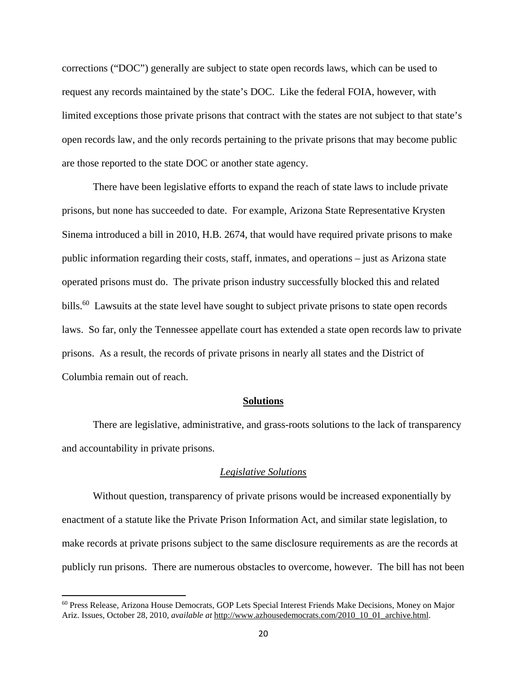corrections ("DOC") generally are subject to state open records laws, which can be used to request any records maintained by the state's DOC. Like the federal FOIA, however, with limited exceptions those private prisons that contract with the states are not subject to that state's open records law, and the only records pertaining to the private prisons that may become public are those reported to the state DOC or another state agency.

There have been legislative efforts to expand the reach of state laws to include private prisons, but none has succeeded to date. For example, Arizona State Representative Krysten Sinema introduced a bill in 2010, H.B. 2674, that would have required private prisons to make public information regarding their costs, staff, inmates, and operations – just as Arizona state operated prisons must do. The private prison industry successfully blocked this and related bills.<sup>60</sup> Lawsuits at the state level have sought to subject private prisons to state open records laws. So far, only the Tennessee appellate court has extended a state open records law to private prisons. As a result, the records of private prisons in nearly all states and the District of Columbia remain out of reach.

#### **Solutions**

There are legislative, administrative, and grass-roots solutions to the lack of transparency and accountability in private prisons.

#### *Legislative Solutions*

 Without question, transparency of private prisons would be increased exponentially by enactment of a statute like the Private Prison Information Act, and similar state legislation, to make records at private prisons subject to the same disclosure requirements as are the records at publicly run prisons. There are numerous obstacles to overcome, however. The bill has not been

<sup>60</sup> Press Release, Arizona House Democrats, GOP Lets Special Interest Friends Make Decisions, Money on Major Ariz. Issues, October 28, 2010, *available at* http://www.azhousedemocrats.com/2010\_10\_01\_archive.html.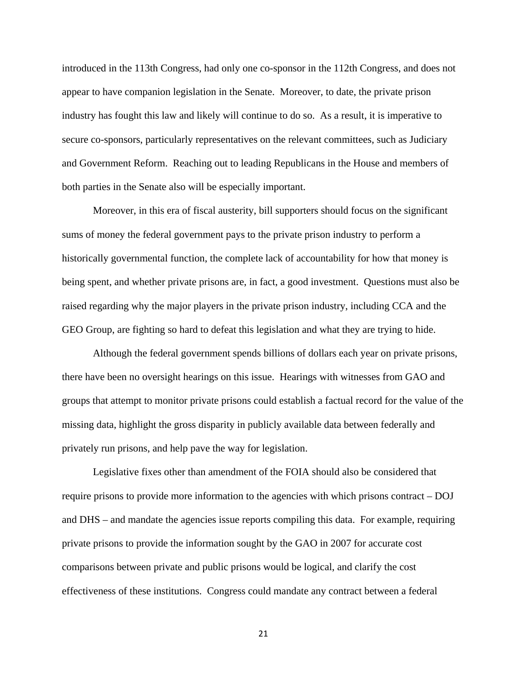introduced in the 113th Congress, had only one co-sponsor in the 112th Congress, and does not appear to have companion legislation in the Senate. Moreover, to date, the private prison industry has fought this law and likely will continue to do so. As a result, it is imperative to secure co-sponsors, particularly representatives on the relevant committees, such as Judiciary and Government Reform. Reaching out to leading Republicans in the House and members of both parties in the Senate also will be especially important.

 Moreover, in this era of fiscal austerity, bill supporters should focus on the significant sums of money the federal government pays to the private prison industry to perform a historically governmental function, the complete lack of accountability for how that money is being spent, and whether private prisons are, in fact, a good investment. Questions must also be raised regarding why the major players in the private prison industry, including CCA and the GEO Group, are fighting so hard to defeat this legislation and what they are trying to hide.

 Although the federal government spends billions of dollars each year on private prisons, there have been no oversight hearings on this issue. Hearings with witnesses from GAO and groups that attempt to monitor private prisons could establish a factual record for the value of the missing data, highlight the gross disparity in publicly available data between federally and privately run prisons, and help pave the way for legislation.

 Legislative fixes other than amendment of the FOIA should also be considered that require prisons to provide more information to the agencies with which prisons contract – DOJ and DHS – and mandate the agencies issue reports compiling this data. For example, requiring private prisons to provide the information sought by the GAO in 2007 for accurate cost comparisons between private and public prisons would be logical, and clarify the cost effectiveness of these institutions. Congress could mandate any contract between a federal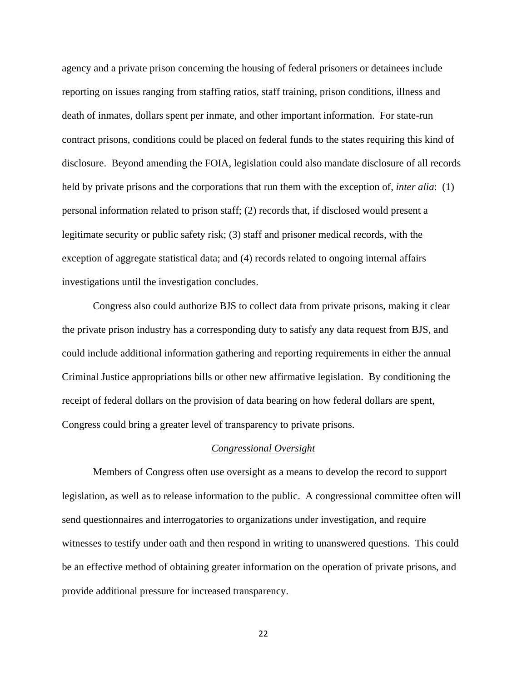agency and a private prison concerning the housing of federal prisoners or detainees include reporting on issues ranging from staffing ratios, staff training, prison conditions, illness and death of inmates, dollars spent per inmate, and other important information. For state-run contract prisons, conditions could be placed on federal funds to the states requiring this kind of disclosure. Beyond amending the FOIA, legislation could also mandate disclosure of all records held by private prisons and the corporations that run them with the exception of, *inter alia*: (1) personal information related to prison staff; (2) records that, if disclosed would present a legitimate security or public safety risk; (3) staff and prisoner medical records, with the exception of aggregate statistical data; and (4) records related to ongoing internal affairs investigations until the investigation concludes.

Congress also could authorize BJS to collect data from private prisons, making it clear the private prison industry has a corresponding duty to satisfy any data request from BJS, and could include additional information gathering and reporting requirements in either the annual Criminal Justice appropriations bills or other new affirmative legislation. By conditioning the receipt of federal dollars on the provision of data bearing on how federal dollars are spent, Congress could bring a greater level of transparency to private prisons.

#### *Congressional Oversight*

 Members of Congress often use oversight as a means to develop the record to support legislation, as well as to release information to the public. A congressional committee often will send questionnaires and interrogatories to organizations under investigation, and require witnesses to testify under oath and then respond in writing to unanswered questions. This could be an effective method of obtaining greater information on the operation of private prisons, and provide additional pressure for increased transparency.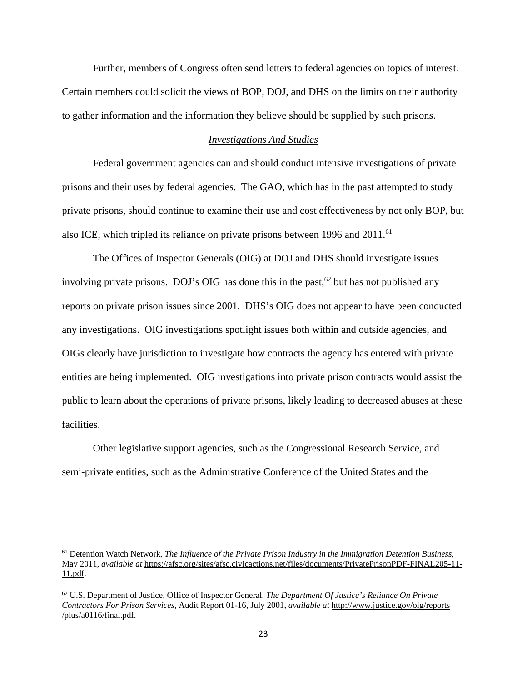Further, members of Congress often send letters to federal agencies on topics of interest. Certain members could solicit the views of BOP, DOJ, and DHS on the limits on their authority to gather information and the information they believe should be supplied by such prisons.

# *Investigations And Studies*

 Federal government agencies can and should conduct intensive investigations of private prisons and their uses by federal agencies. The GAO, which has in the past attempted to study private prisons, should continue to examine their use and cost effectiveness by not only BOP, but also ICE, which tripled its reliance on private prisons between 1996 and 2011.<sup>61</sup>

 The Offices of Inspector Generals (OIG) at DOJ and DHS should investigate issues involving private prisons. DOJ's OIG has done this in the past,  $62$  but has not published any reports on private prison issues since 2001. DHS's OIG does not appear to have been conducted any investigations. OIG investigations spotlight issues both within and outside agencies, and OIGs clearly have jurisdiction to investigate how contracts the agency has entered with private entities are being implemented. OIG investigations into private prison contracts would assist the public to learn about the operations of private prisons, likely leading to decreased abuses at these facilities.

Other legislative support agencies, such as the Congressional Research Service, and semi-private entities, such as the Administrative Conference of the United States and the

<sup>61</sup> Detention Watch Network, *The Influence of the Private Prison Industry in the Immigration Detention Business*, May 2011, *available at* https://afsc.org/sites/afsc.civicactions.net/files/documents/PrivatePrisonPDF-FINAL205-11- 11.pdf.

<sup>62</sup> U.S. Department of Justice, Office of Inspector General, *The Department Of Justice's Reliance On Private Contractors For Prison Services*, Audit Report 01-16, July 2001, *available at* http://www.justice.gov/oig/reports /plus/a0116/final.pdf.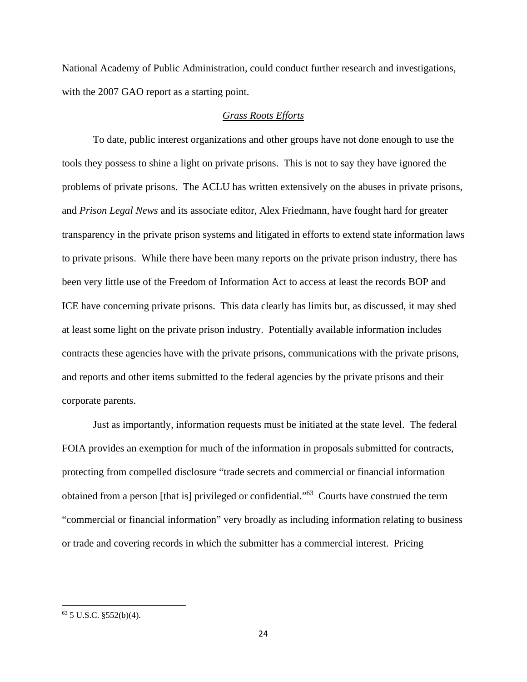National Academy of Public Administration, could conduct further research and investigations, with the 2007 GAO report as a starting point.

# *Grass Roots Efforts*

 To date, public interest organizations and other groups have not done enough to use the tools they possess to shine a light on private prisons. This is not to say they have ignored the problems of private prisons. The ACLU has written extensively on the abuses in private prisons, and *Prison Legal News* and its associate editor, Alex Friedmann, have fought hard for greater transparency in the private prison systems and litigated in efforts to extend state information laws to private prisons. While there have been many reports on the private prison industry, there has been very little use of the Freedom of Information Act to access at least the records BOP and ICE have concerning private prisons. This data clearly has limits but, as discussed, it may shed at least some light on the private prison industry. Potentially available information includes contracts these agencies have with the private prisons, communications with the private prisons, and reports and other items submitted to the federal agencies by the private prisons and their corporate parents.

 Just as importantly, information requests must be initiated at the state level. The federal FOIA provides an exemption for much of the information in proposals submitted for contracts, protecting from compelled disclosure "trade secrets and commercial or financial information obtained from a person [that is] privileged or confidential."63 Courts have construed the term "commercial or financial information" very broadly as including information relating to business or trade and covering records in which the submitter has a commercial interest. Pricing

 $63$  5 U.S.C. §552(b)(4).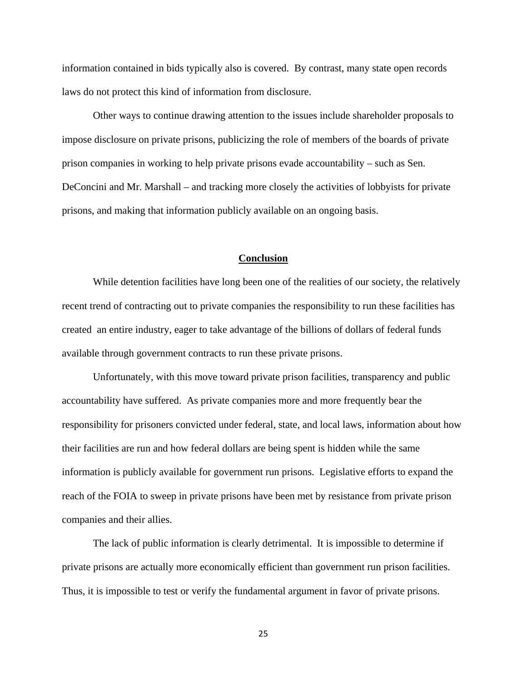information contained in bids typically also is covered. By contrast, many state open records laws do not protect this kind of information from disclosure.

 Other ways to continue drawing attention to the issues include shareholder proposals to impose disclosure on private prisons, publicizing the role of members of the boards of private prison companies in working to help private prisons evade accountability – such as Sen. DeConcini and Mr. Marshall – and tracking more closely the activities of lobbyists for private prisons, and making that information publicly available on an ongoing basis.

#### **Conclusion**

 While detention facilities have long been one of the realities of our society, the relatively recent trend of contracting out to private companies the responsibility to run these facilities has created an entire industry, eager to take advantage of the billions of dollars of federal funds available through government contracts to run these private prisons.

 Unfortunately, with this move toward private prison facilities, transparency and public accountability have suffered. As private companies more and more frequently bear the responsibility for prisoners convicted under federal, state, and local laws, information about how their facilities are run and how federal dollars are being spent is hidden while the same information is publicly available for government run prisons. Legislative efforts to expand the reach of the FOIA to sweep in private prisons have been met by resistance from private prison companies and their allies.

 The lack of public information is clearly detrimental. It is impossible to determine if private prisons are actually more economically efficient than government run prison facilities. Thus, it is impossible to test or verify the fundamental argument in favor of private prisons.